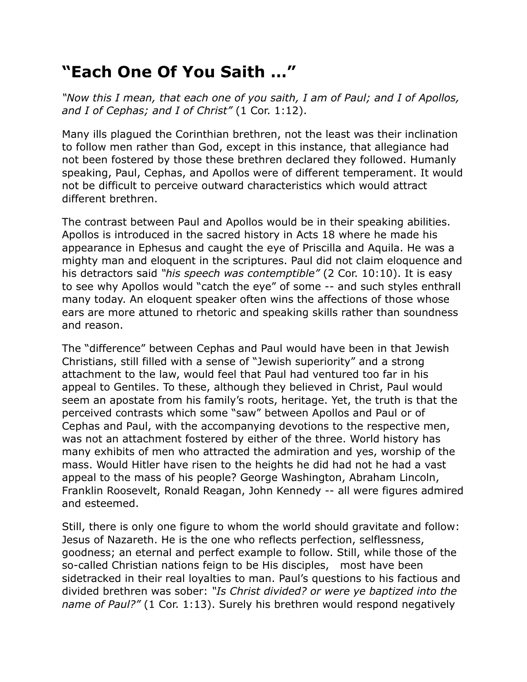## **"Each One Of You Saith …"**

*"Now this I mean, that each one of you saith, I am of Paul; and I of Apollos, and I of Cephas; and I of Christ"* (1 Cor. 1:12).

Many ills plagued the Corinthian brethren, not the least was their inclination to follow men rather than God, except in this instance, that allegiance had not been fostered by those these brethren declared they followed. Humanly speaking, Paul, Cephas, and Apollos were of different temperament. It would not be difficult to perceive outward characteristics which would attract different brethren.

The contrast between Paul and Apollos would be in their speaking abilities. Apollos is introduced in the sacred history in Acts 18 where he made his appearance in Ephesus and caught the eye of Priscilla and Aquila. He was a mighty man and eloquent in the scriptures. Paul did not claim eloquence and his detractors said *"his speech was contemptible"* (2 Cor. 10:10). It is easy to see why Apollos would "catch the eye" of some -- and such styles enthrall many today. An eloquent speaker often wins the affections of those whose ears are more attuned to rhetoric and speaking skills rather than soundness and reason.

The "difference" between Cephas and Paul would have been in that Jewish Christians, still filled with a sense of "Jewish superiority" and a strong attachment to the law, would feel that Paul had ventured too far in his appeal to Gentiles. To these, although they believed in Christ, Paul would seem an apostate from his family's roots, heritage. Yet, the truth is that the perceived contrasts which some "saw" between Apollos and Paul or of Cephas and Paul, with the accompanying devotions to the respective men, was not an attachment fostered by either of the three. World history has many exhibits of men who attracted the admiration and yes, worship of the mass. Would Hitler have risen to the heights he did had not he had a vast appeal to the mass of his people? George Washington, Abraham Lincoln, Franklin Roosevelt, Ronald Reagan, John Kennedy -- all were figures admired and esteemed.

Still, there is only one figure to whom the world should gravitate and follow: Jesus of Nazareth. He is the one who reflects perfection, selflessness, goodness; an eternal and perfect example to follow. Still, while those of the so-called Christian nations feign to be His disciples, most have been sidetracked in their real loyalties to man. Paul's questions to his factious and divided brethren was sober: *"Is Christ divided? or were ye baptized into the name of Paul?"* (1 Cor. 1:13). Surely his brethren would respond negatively